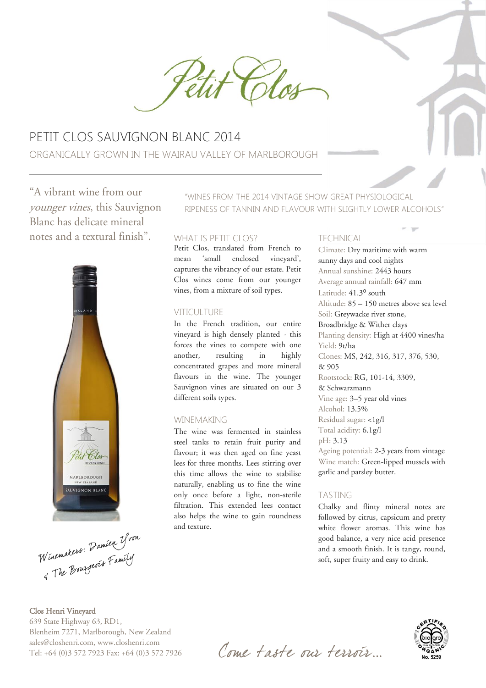

# PETIT CLOS SAUVIGNON BLANC 2014 ORGANICALLY GROWN IN THE WAIRAU VALLEY OF MARLBOROUGH

"A vibrant wine from our younger vines, this Sauvignon Blanc has delicate mineral notes and a textural finish". WHAT IS PETIT CLOS?



Winemakers: Damien Yvon

Clos Henri Vineyard 639 State Highway 63, RD1, Blenheim 7271, Marlborough, New Zealand sales@closhenri.com, www.closhenri.com Tel: +64 (0)3 572 7923 Fax: +64 (0)3 572 7926

"WINES FROM THE 2014 VINTAGE SHOW GREAT PHYSIOLOGICAL RIPENESS OF TANNIN AND FLAVOUR WITH SLIGHTLY LOWER ALCOHOLS"

Petit Clos, translated from French to mean 'small enclosed vineyard', captures the vibrancy of our estate. Petit Clos wines come from our younger vines, from a mixture of soil types.

#### VITICULTURE

In the French tradition, our entire vineyard is high densely planted - this forces the vines to compete with one another, resulting in highly concentrated grapes and more mineral flavours in the wine. The younger Sauvignon vines are situated on our 3 different soils types.

#### WINEMAKING

The wine was fermented in stainless steel tanks to retain fruit purity and flavour; it was then aged on fine yeast lees for three months. Lees stirring over this time allows the wine to stabilise naturally, enabling us to fine the wine only once before a light, non-sterile filtration. This extended lees contact also helps the wine to gain roundness and texture.

#### TECHNICAL

Climate: Dry maritime with warm sunny days and cool nights Annual sunshine: 2443 hours Average annual rainfall: 647 mm Latitude: 41.3° south Altitude: 85 – 150 metres above sea level Soil: Greywacke river stone, Broadbridge & Wither clays Planting density: High at 4400 vines/ha Yield: 9t/ha Clones: MS, 242, 316, 317, 376, 530, & 905 Rootstock: RG, 101-14, 3309, & Schwarzmann Vine age: 3–5 year old vines Alcohol: 13.5% Residual sugar: <1g/l Total acidity: 6.1g/l pH: 3.13 Ageing potential: 2-3 years from vintage Wine match: Green-lipped mussels with garlic and parsley butter.

#### TASTING

Chalky and flinty mineral notes are followed by citrus, capsicum and pretty white flower aromas. This wine has good balance, a very nice acid presence and a smooth finish. It is tangy, round, soft, super fruity and easy to drink.



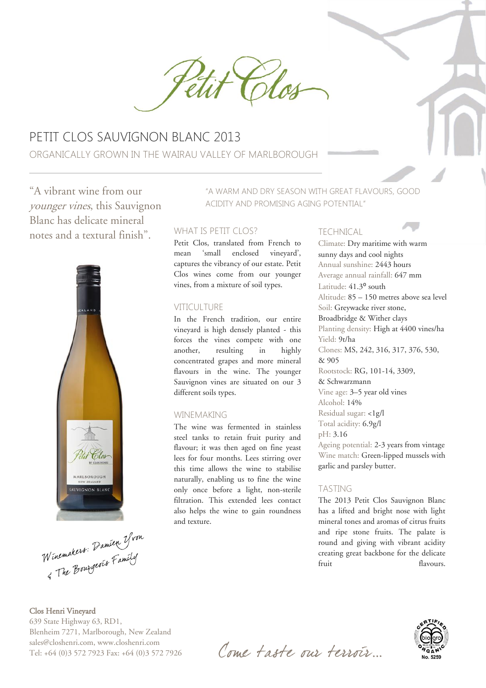

# PETIT CLOS SAUVIGNON BLANC 2013 ORGANICALLY GROWN IN THE WAIRAU VALLEY OF MARLBOROUGH

"A vibrant wine from our younger vines, this Sauvignon Blanc has delicate mineral notes and a textural finish".



Winemakers: Damien Yvon

#### Clos Henri Vineyard 639 State Highway 63, RD1, Blenheim 7271, Marlborough, New Zealand sales@closhenri.com, www.closhenri.com Tel: +64 (0)3 572 7923 Fax: +64 (0)3 572 7926

"A WARM AND DRY SEASON WITH GREAT FLAVOURS, GOOD ACIDITY AND PROMISING AGING POTENTIAL"

#### WHAT IS PETIT CLOS?

Petit Clos, translated from French to mean 'small enclosed vineyard', captures the vibrancy of our estate. Petit Clos wines come from our younger vines, from a mixture of soil types.

#### VITICULTURE

In the French tradition, our entire vineyard is high densely planted - this forces the vines compete with one another, resulting in highly concentrated grapes and more mineral flavours in the wine. The younger Sauvignon vines are situated on our 3 different soils types.

#### WINEMAKING

The wine was fermented in stainless steel tanks to retain fruit purity and flavour; it was then aged on fine yeast lees for four months. Lees stirring over this time allows the wine to stabilise naturally, enabling us to fine the wine only once before a light, non-sterile filtration. This extended lees contact also helps the wine to gain roundness and texture.

#### TECHNICAL

Climate: Dry maritime with warm sunny days and cool nights Annual sunshine: 2443 hours Average annual rainfall: 647 mm Latitude: 41.3<sup>o</sup> south Altitude: 85 – 150 metres above sea level Soil: Greywacke river stone, Broadbridge & Wither clays Planting density: High at 4400 vines/ha Yield: 9t/ha Clones: MS, 242, 316, 317, 376, 530, & 905 Rootstock: RG, 101-14, 3309, & Schwarzmann Vine age: 3–5 year old vines Alcohol: 14% Residual sugar: <1g/l Total acidity: 6.9g/l pH: 3.16 Ageing potential: 2-3 years from vintage Wine match: Green-lipped mussels with garlic and parsley butter.

#### TASTING

The 2013 Petit Clos Sauvignon Blanc has a lifted and bright nose with light mineral tones and aromas of citrus fruits and ripe stone fruits. The palate is round and giving with vibrant acidity creating great backbone for the delicate fruit flavours.



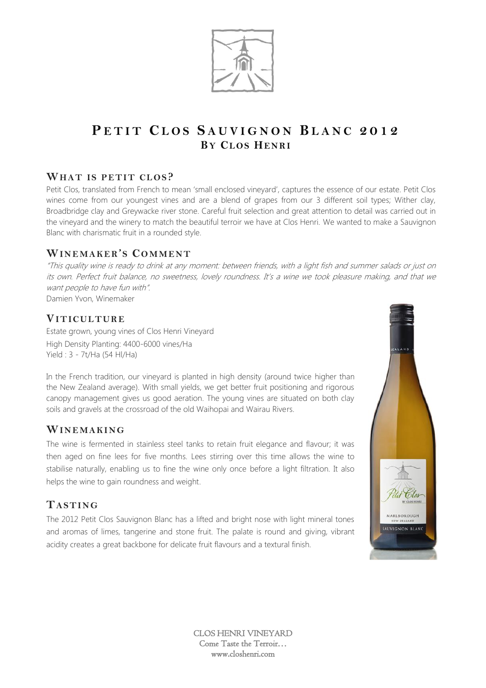

# **P E T I T C L O S S A U V I G N O N B L A N C 2 0 1 2 BY CL OS HEN R I**

## **WHAT IS PETIT CLOS?**

Petit Clos, translated from French to mean 'small enclosed vineyard', captures the essence of our estate. Petit Clos wines come from our youngest vines and are a blend of grapes from our 3 different soil types; Wither clay, Broadbridge clay and Greywacke river stone. Careful fruit selection and great attention to detail was carried out in the vineyard and the winery to match the beautiful terroir we have at Clos Henri. We wanted to make a Sauvignon Blanc with charismatic fruit in a rounded style.

## **WIN E MA KER'S CO MM ENT**

"This quality wine is ready to drink at any moment: between friends, with a light fish and summer salads or just on its own. Perfect fruit balance, no sweetness, lovely roundness. It's a wine we took pleasure making, and that we want people to have fun with". Damien Yvon, Winemaker

## **VIT IC UL TUR E**

Estate grown, young vines of Clos Henri Vineyard High Density Planting: 4400-6000 vines/Ha Yield : 3 - 7t/Ha (54 Hl/Ha)

In the French tradition, our vineyard is planted in high density (around twice higher than the New Zealand average). With small yields, we get better fruit positioning and rigorous canopy management gives us good aeration. The young vines are situated on both clay soils and gravels at the crossroad of the old Waihopai and Wairau Rivers.

#### **WIN E MA KI NG**

The wine is fermented in stainless steel tanks to retain fruit elegance and flavour; it was then aged on fine lees for five months. Lees stirring over this time allows the wine to stabilise naturally, enabling us to fine the wine only once before a light filtration. It also helps the wine to gain roundness and weight.

#### **TA ST ING**

The 2012 Petit Clos Sauvignon Blanc has a lifted and bright nose with light mineral tones and aromas of limes, tangerine and stone fruit. The palate is round and giving, vibrant acidity creates a great backbone for delicate fruit flavours and a textural finish.

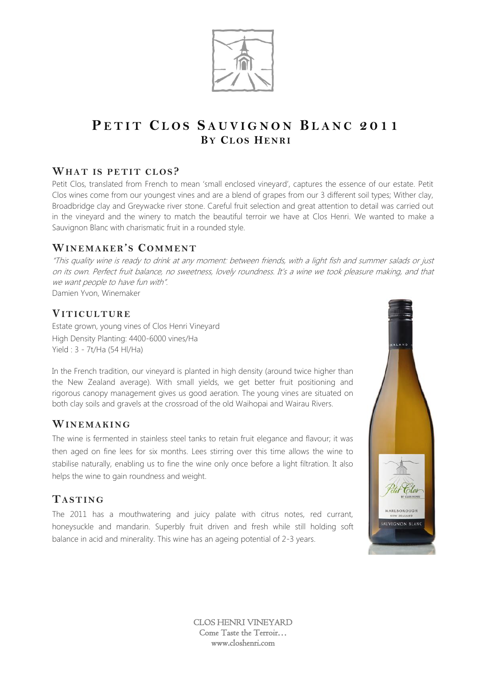

# **P E T I T C L O S S A U V I G N O N B L A N C 2 0 1 1 BY CL OS HEN R I**

## **WHAT IS PETIT CLOS?**

Petit Clos, translated from French to mean 'small enclosed vineyard', captures the essence of our estate. Petit Clos wines come from our youngest vines and are a blend of grapes from our 3 different soil types; Wither clay, Broadbridge clay and Greywacke river stone. Careful fruit selection and great attention to detail was carried out in the vineyard and the winery to match the beautiful terroir we have at Clos Henri. We wanted to make a Sauvignon Blanc with charismatic fruit in a rounded style.

## **WIN E MA KER'S CO MM ENT**

"This quality wine is ready to drink at any moment: between friends, with a light fish and summer salads or just on its own. Perfect fruit balance, no sweetness, lovely roundness. It's a wine we took pleasure making, and that we want people to have fun with". Damien Yvon, Winemaker

## **VIT IC UL TUR E**

Estate grown, young vines of Clos Henri Vineyard High Density Planting: 4400-6000 vines/Ha Yield : 3 - 7t/Ha (54 Hl/Ha)

In the French tradition, our vineyard is planted in high density (around twice higher than the New Zealand average). With small yields, we get better fruit positioning and rigorous canopy management gives us good aeration. The young vines are situated on both clay soils and gravels at the crossroad of the old Waihopai and Wairau Rivers.

#### **WIN E MA KI NG**

The wine is fermented in stainless steel tanks to retain fruit elegance and flavour; it was then aged on fine lees for six months. Lees stirring over this time allows the wine to stabilise naturally, enabling us to fine the wine only once before a light filtration. It also helps the wine to gain roundness and weight.

# **TA ST ING**

The 2011 has a mouthwatering and juicy palate with citrus notes, red currant, honeysuckle and mandarin. Superbly fruit driven and fresh while still holding soft balance in acid and minerality. This wine has an ageing potential of 2-3 years.

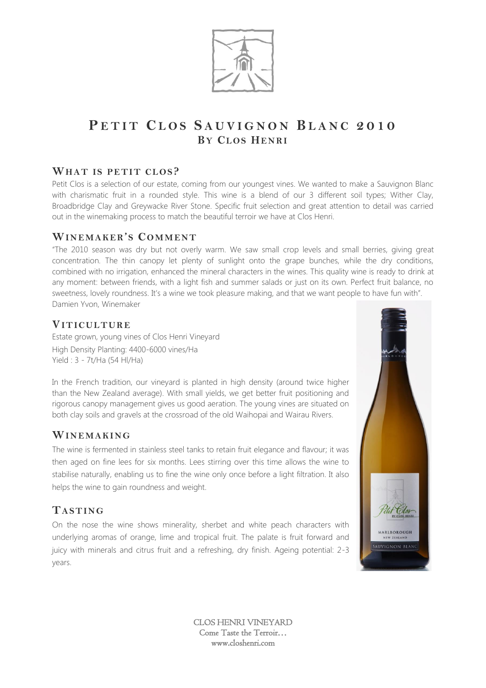

# **P E T I T C L O S S A U V I G N O N B L A N C 2 0 1 0 BY CL OS HEN R I**

## **WHAT IS PETIT CLOS?**

Petit Clos is a selection of our estate, coming from our youngest vines. We wanted to make a Sauvignon Blanc with charismatic fruit in a rounded style. This wine is a blend of our 3 different soil types; Wither Clay, Broadbridge Clay and Greywacke River Stone. Specific fruit selection and great attention to detail was carried out in the winemaking process to match the beautiful terroir we have at Clos Henri.

## **WIN E MA KE R'S CO MM ENT**

"The 2010 season was dry but not overly warm. We saw small crop levels and small berries, giving great concentration. The thin canopy let plenty of sunlight onto the grape bunches, while the dry conditions, combined with no irrigation, enhanced the mineral characters in the wines. This quality wine is ready to drink at any moment: between friends, with a light fish and summer salads or just on its own. Perfect fruit balance, no sweetness, lovely roundness. It's a wine we took pleasure making, and that we want people to have fun with". Damien Yvon, Winemaker

## **VIT IC UL TUR E**

Estate grown, young vines of Clos Henri Vineyard High Density Planting: 4400-6000 vines/Ha Yield : 3 - 7t/Ha (54 Hl/Ha)

In the French tradition, our vineyard is planted in high density (around twice higher than the New Zealand average). With small yields, we get better fruit positioning and rigorous canopy management gives us good aeration. The young vines are situated on both clay soils and gravels at the crossroad of the old Waihopai and Wairau Rivers.

#### **WIN E MA KI NG**

The wine is fermented in stainless steel tanks to retain fruit elegance and flavour; it was then aged on fine lees for six months. Lees stirring over this time allows the wine to stabilise naturally, enabling us to fine the wine only once before a light filtration. It also helps the wine to gain roundness and weight.

## **TA ST ING**

On the nose the wine shows minerality, sherbet and white peach characters with underlying aromas of orange, lime and tropical fruit. The palate is fruit forward and juicy with minerals and citrus fruit and a refreshing, dry finish. Ageing potential: 2-3 years.

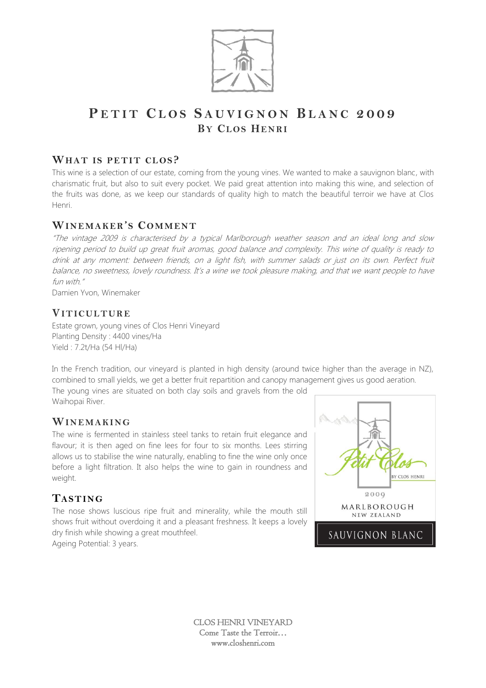

# **P E T I T C L O S S A U V I G N O N B L A N C 2 0 0 9 BY CL OS HEN R I**

#### **WHAT IS PETIT CLOS?**

This wine is a selection of our estate, coming from the young vines. We wanted to make a sauvignon blanc, with charismatic fruit, but also to suit every pocket. We paid great attention into making this wine, and selection of the fruits was done, as we keep our standards of quality high to match the beautiful terroir we have at Clos Henri.

# **WIN E MA KE R'S CO MM ENT**

"The vintage 2009 is characterised by a typical Marlborough weather season and an ideal long and slow ripening period to build up great fruit aromas, good balance and complexity. This wine of quality is ready to drink at any moment: between friends, on a light fish, with summer salads or just on its own. Perfect fruit balance, no sweetness, lovely roundness. It's a wine we took pleasure making, and that we want people to have fun with."

Damien Yvon, Winemaker

## **VIT IC UL TUR E**

Estate grown, young vines of Clos Henri Vineyard Planting Density : 4400 vines/Ha Yield : 7.2t/Ha (54 Hl/Ha)

In the French tradition, our vineyard is planted in high density (around twice higher than the average in NZ), combined to small yields, we get a better fruit repartition and canopy management gives us good aeration.

The young vines are situated on both clay soils and gravels from the old Waihopai River.

#### WINEMAKING

The wine is fermented in stainless steel tanks to retain fruit elegance and flavour; it is then aged on fine lees for four to six months. Lees stirring allows us to stabilise the wine naturally, enabling to fine the wine only once before a light filtration. It also helps the wine to gain in roundness and weight.

## **TAST ING**

The nose shows luscious ripe fruit and minerality, while the mouth still shows fruit without overdoing it and a pleasant freshness. It keeps a lovely dry finish while showing a great mouthfeel. Ageing Potential: 3 years.